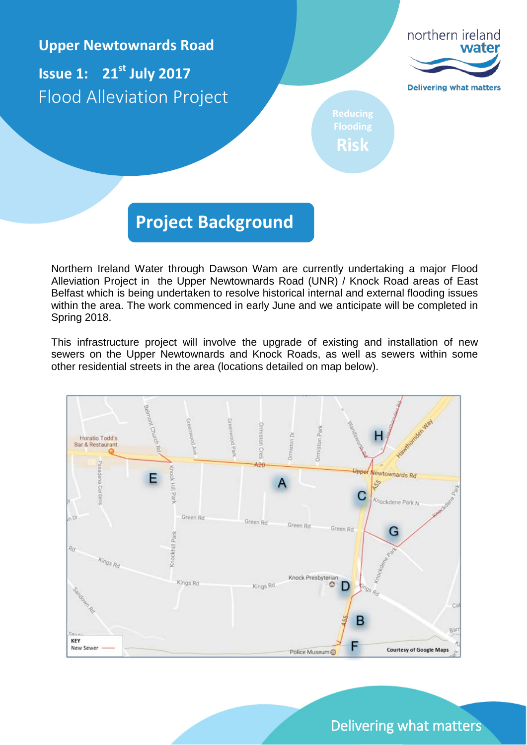**Upper Newtownards Road Issue 1: 21st July 2017** Flood Alleviation Project



**Risk**

## **Project Background**

Northern Ireland Water through Dawson Wam are currently undertaking a major Flood Alleviation Project in the Upper Newtownards Road (UNR) / Knock Road areas of East Belfast which is being undertaken to resolve historical internal and external flooding issues within the area. The work commenced in early June and we anticipate will be completed in Spring 2018.

This infrastructure project will involve the upgrade of existing and installation of new sewers on the Upper Newtownards and Knock Roads, as well as sewers within some other residential streets in the area (locations detailed on map below).



Delivering what matters